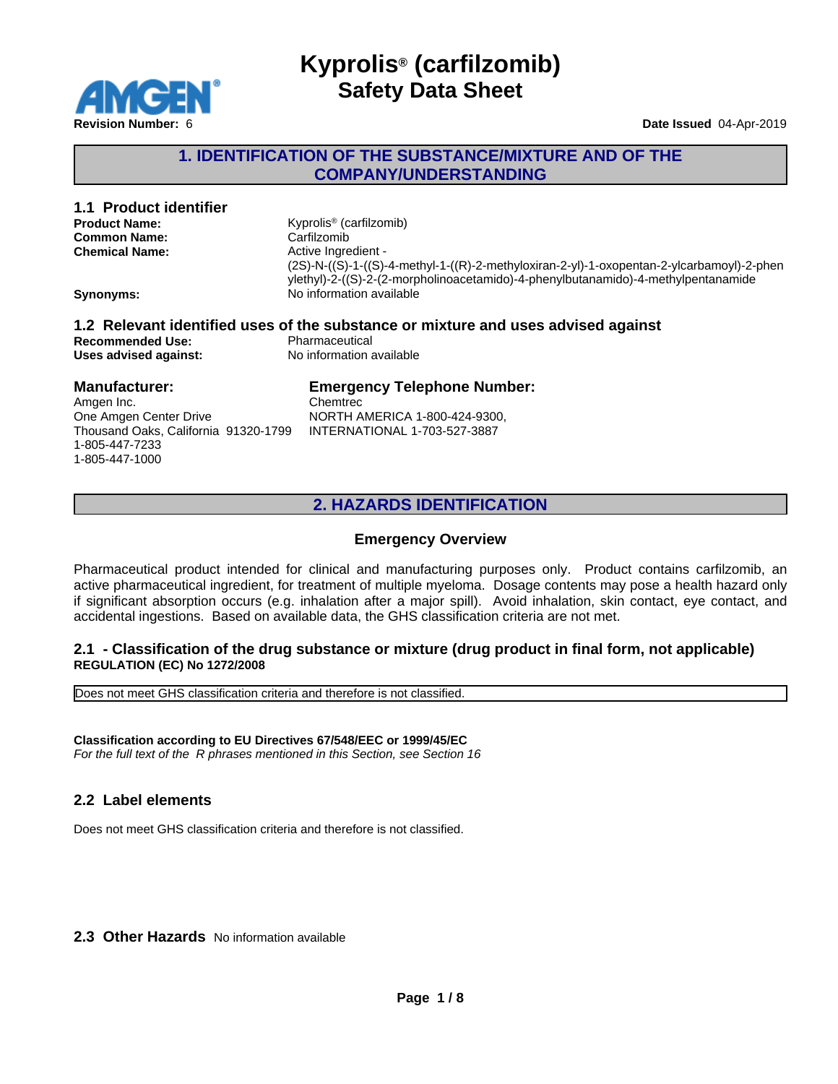

### **1. IDENTIFICATION OF THE SUBSTANCE/MIXTURE AND OF THE COMPANY/UNDERSTANDING**

# **1.1 Product identifier**

| <b>Product Name:</b>  |
|-----------------------|
| <b>Common Name:</b>   |
| <b>Chemical Name:</b> |

**Product Name:** Kyprolis® (carfilzomib)  $Carfilzomib$ **Chemical Name:** Active Ingredient - (2S)-N-((S)-1-((S)-4-methyl-1-((R)-2-methyloxiran-2-yl)-1-oxopentan-2-ylcarbamoyl)-2-phen ylethyl)-2-((S)-2-(2-morpholinoacetamido)-4-phenylbutanamido)-4-methylpentanamide **Synonyms:** No information available

# **1.2 Relevant identified uses of the substance or mixture and uses advised against Recommended Use:**<br> **Uses advised against:**<br> **No information available**

**Uses** advised against:

### **Manufacturer:**

Amgen Inc. One Amgen Center Drive Thousand Oaks, California 91320-1799 1-805-447-7233 1-805-447-1000

# **Emergency Telephone Number:**

**Chemtrec** NORTH AMERICA 1-800-424-9300, INTERNATIONAL 1-703-527-3887

# **2. HAZARDS IDENTIFICATION**

# **Emergency Overview**

Pharmaceutical product intended for clinical and manufacturing purposes only. Product contains carfilzomib, an active pharmaceutical ingredient, for treatment of multiple myeloma. Dosage contents may pose a health hazard only if significant absorption occurs (e.g. inhalation after a major spill). Avoid inhalation, skin contact, eye contact, and accidental ingestions. Based on available data, the GHS classification criteria are not met.

#### **2.1 - Classification of the drug substance or mixture (drug product in final form, not applicable) REGULATION (EC) No 1272/2008**

Does not meet GHS classification criteria and therefore is not classified.

**Classification according to EU Directives 67/548/EEC or 1999/45/EC** *For the full text of the R phrases mentioned in this Section, see Section 16*

### **2.2 Label elements**

Does not meet GHS classification criteria and therefore is not classified.

### **2.3 Other Hazards** No information available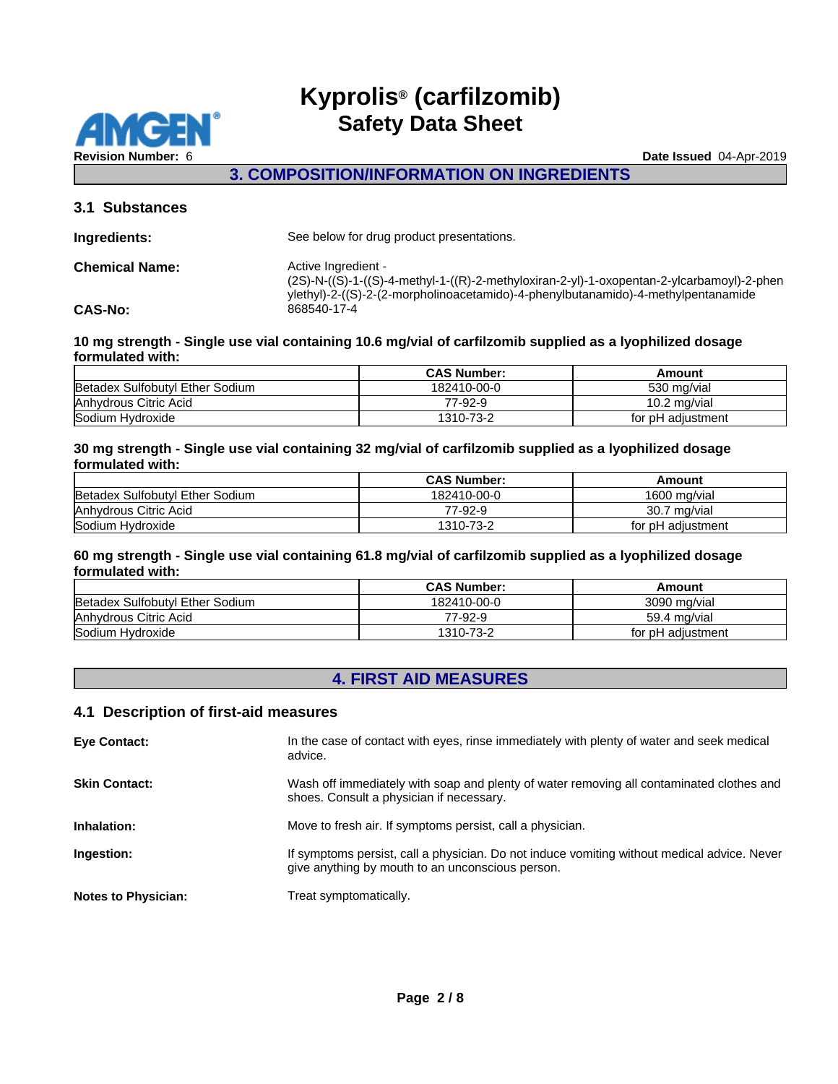

**3. COMPOSITION/INFORMATION ON INGREDIENTS**

#### **3.1 Substances**

| Ingredients:          | See below for drug product presentations.                                                                                                                                                             |
|-----------------------|-------------------------------------------------------------------------------------------------------------------------------------------------------------------------------------------------------|
| <b>Chemical Name:</b> | Active Ingredient -<br>(2S)-N-((S)-1-((S)-4-methyl-1-((R)-2-methyloxiran-2-yl)-1-oxopentan-2-ylcarbamoyl)-2-phen<br>ylethyl)-2-((S)-2-(2-morpholinoacetamido)-4-phenylbutanamido)-4-methylpentanamide |
| <b>CAS-No:</b>        | 868540-17-4                                                                                                                                                                                           |
|                       |                                                                                                                                                                                                       |

#### **10 mg strength - Single use vial containing 10.6 mg/vial of carfilzomib supplied as a lyophilized dosage formulated with:**

|                                 | <b>CAS Number:</b> | Amount            |
|---------------------------------|--------------------|-------------------|
| Betadex Sulfobutyl Ether Sodium | 182410-00-0        | 530 mg/vial       |
| Anhydrous Citric Acid           | 77-92-9            | 10.2 mg/vial      |
| Sodium Hydroxide                | 1310-73-2          | for pH adiustment |

#### **30 mg strength - Single use vial containing 32 mg/vial of carfilzomib supplied as a lyophilized dosage formulated with:**

|                                 | <b>CAS Number:</b> | Amount            |
|---------------------------------|--------------------|-------------------|
| Betadex Sulfobutyl Ether Sodium | 182410-00-0        | 1600 mg/vial      |
| Anhydrous Citric Acid           | 77-92-9            | 30.7 mg/vial      |
| Sodium Hydroxide                | 1310-73-2          | for pH adiustment |

#### **60 mg strength - Single use vial containing 61.8 mg/vial of carfilzomib supplied as a lyophilized dosage formulated with:**

|                                 | <b>CAS Number:</b> | Amount            |
|---------------------------------|--------------------|-------------------|
| Betadex Sulfobutyl Ether Sodium | 182410-00-0        | 3090 mg/vial      |
| Anhydrous Citric Acid           | 77-92-9            | 59.4 mg/vial      |
| Sodium Hydroxide                | 1310-73-2          | for pH adiustment |

# **4. FIRST AID MEASURES**

#### **4.1 Description of first-aid measures**

| <b>Eye Contact:</b>        | In the case of contact with eyes, rinse immediately with plenty of water and seek medical<br>advice.                                            |
|----------------------------|-------------------------------------------------------------------------------------------------------------------------------------------------|
| <b>Skin Contact:</b>       | Wash off immediately with soap and plenty of water removing all contaminated clothes and<br>shoes. Consult a physician if necessary.            |
| Inhalation:                | Move to fresh air. If symptoms persist, call a physician.                                                                                       |
| Ingestion:                 | If symptoms persist, call a physician. Do not induce vomiting without medical advice. Never<br>give anything by mouth to an unconscious person. |
| <b>Notes to Physician:</b> | Treat symptomatically.                                                                                                                          |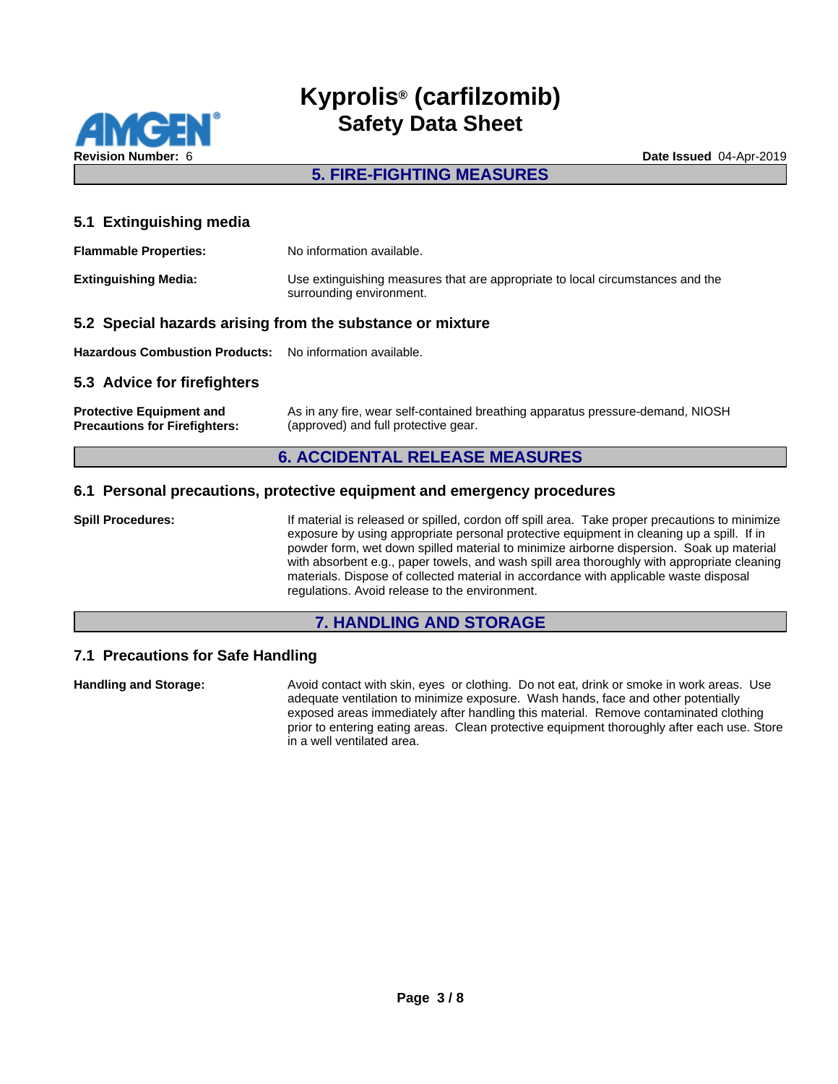

# **5. FIRE-FIGHTING MEASURES**

**5.1 Extinguishing media**

| <b>Flammable Properties:</b>                                | No information available.                                                                                  |
|-------------------------------------------------------------|------------------------------------------------------------------------------------------------------------|
| <b>Extinguishing Media:</b>                                 | Use extinguishing measures that are appropriate to local circumstances and the<br>surrounding environment. |
| E.O. Cusatel because existent from the existence or minimal |                                                                                                            |

#### **5.2 Special hazards arising from the substance or mixture**

**Hazardous Combustion Products:** No information available.

#### **5.3 Advice for firefighters**

| <b>Protective Equipment and</b>      | As in any fire, wear self-contained breathing apparatus pressure-demand, NIOSH |
|--------------------------------------|--------------------------------------------------------------------------------|
| <b>Precautions for Firefighters:</b> | (approved) and full protective gear.                                           |

#### **6. ACCIDENTAL RELEASE MEASURES**

#### **6.1 Personal precautions, protective equipment and emergency procedures**

**Spill Procedures:** If material is released or spilled, cordon off spill area. Take proper precautions to minimize exposure by using appropriate personal protective equipment in cleaning up a spill. If in powder form, wet down spilled material to minimize airborne dispersion. Soak up material with absorbent e.g., paper towels, and wash spill area thoroughly with appropriate cleaning materials. Dispose of collected material in accordance with applicable waste disposal regulations. Avoid release to the environment.

#### **7. HANDLING AND STORAGE**

#### **7.1 Precautions for Safe Handling**

**Handling and Storage:** Avoid contact with skin, eyes or clothing. Do not eat, drink or smoke in work areas. Use adequate ventilation to minimize exposure. Wash hands, face and other potentially exposed areas immediately after handling this material. Remove contaminated clothing prior to entering eating areas. Clean protective equipment thoroughly after each use. Store in a well ventilated area.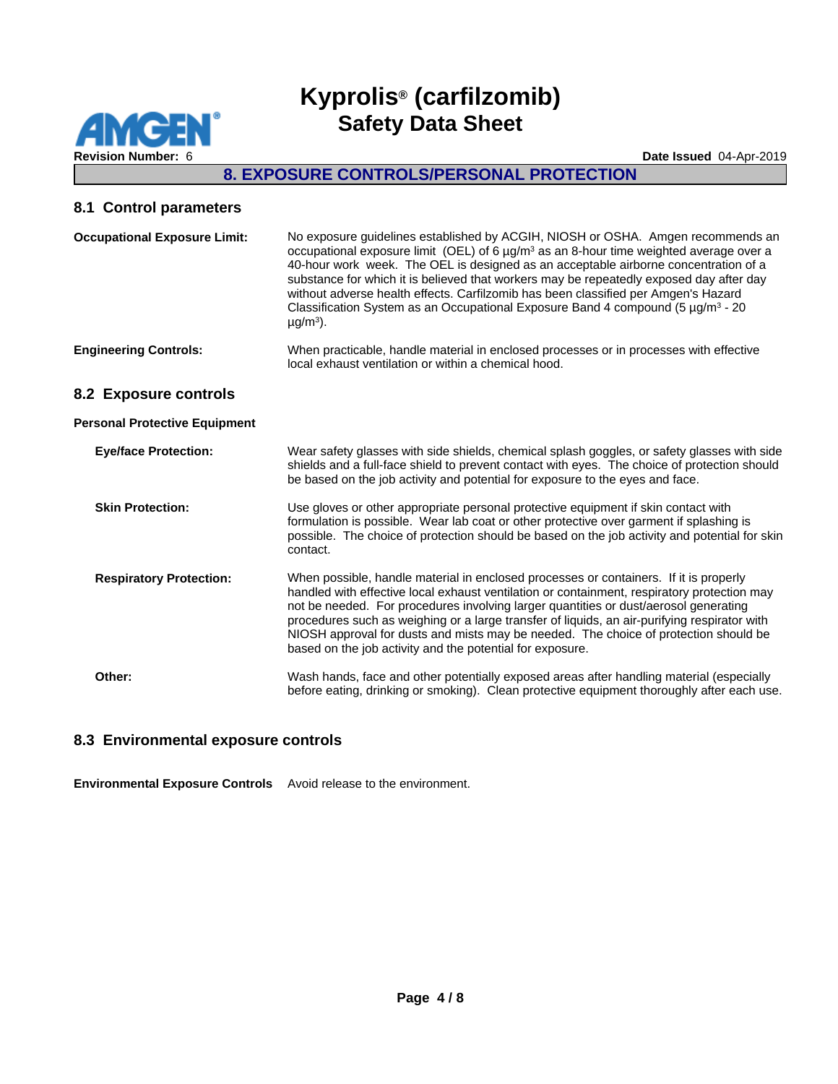**MGEN Revision Number:** 6 **Date Issued** 04-Apr-2019

# **Kyprolis® (carfilzomib) Safety Data Sheet**

# **8. EXPOSURE CONTROLS/PERSONAL PROTECTION**

#### **8.1 Control parameters**

| <b>Occupational Exposure Limit:</b>  | No exposure guidelines established by ACGIH, NIOSH or OSHA. Amgen recommends an<br>occupational exposure limit (OEL) of 6 $\mu$ g/m <sup>3</sup> as an 8-hour time weighted average over a<br>40-hour work week. The OEL is designed as an acceptable airborne concentration of a<br>substance for which it is believed that workers may be repeatedly exposed day after day<br>without adverse health effects. Carfilzomib has been classified per Amgen's Hazard<br>Classification System as an Occupational Exposure Band 4 compound (5 $\mu$ g/m <sup>3</sup> - 20<br>$\mu$ g/m <sup>3</sup> ). |
|--------------------------------------|-----------------------------------------------------------------------------------------------------------------------------------------------------------------------------------------------------------------------------------------------------------------------------------------------------------------------------------------------------------------------------------------------------------------------------------------------------------------------------------------------------------------------------------------------------------------------------------------------------|
| <b>Engineering Controls:</b>         | When practicable, handle material in enclosed processes or in processes with effective<br>local exhaust ventilation or within a chemical hood.                                                                                                                                                                                                                                                                                                                                                                                                                                                      |
| 8.2 Exposure controls                |                                                                                                                                                                                                                                                                                                                                                                                                                                                                                                                                                                                                     |
| <b>Personal Protective Equipment</b> |                                                                                                                                                                                                                                                                                                                                                                                                                                                                                                                                                                                                     |
| <b>Eye/face Protection:</b>          | Wear safety glasses with side shields, chemical splash goggles, or safety glasses with side<br>shields and a full-face shield to prevent contact with eyes. The choice of protection should<br>be based on the job activity and potential for exposure to the eyes and face.                                                                                                                                                                                                                                                                                                                        |
| <b>Skin Protection:</b>              | Use gloves or other appropriate personal protective equipment if skin contact with<br>formulation is possible. Wear lab coat or other protective over garment if splashing is<br>possible. The choice of protection should be based on the job activity and potential for skin<br>contact.                                                                                                                                                                                                                                                                                                          |
| <b>Respiratory Protection:</b>       | When possible, handle material in enclosed processes or containers. If it is properly<br>handled with effective local exhaust ventilation or containment, respiratory protection may<br>not be needed. For procedures involving larger quantities or dust/aerosol generating<br>procedures such as weighing or a large transfer of liquids, an air-purifying respirator with<br>NIOSH approval for dusts and mists may be needed. The choice of protection should be<br>based on the job activity and the potential for exposure.                                                                   |
| Other:                               | Wash hands, face and other potentially exposed areas after handling material (especially<br>before eating, drinking or smoking). Clean protective equipment thoroughly after each use.                                                                                                                                                                                                                                                                                                                                                                                                              |

#### **8.3 Environmental exposure controls**

**Environmental Exposure Controls** Avoid release to the environment.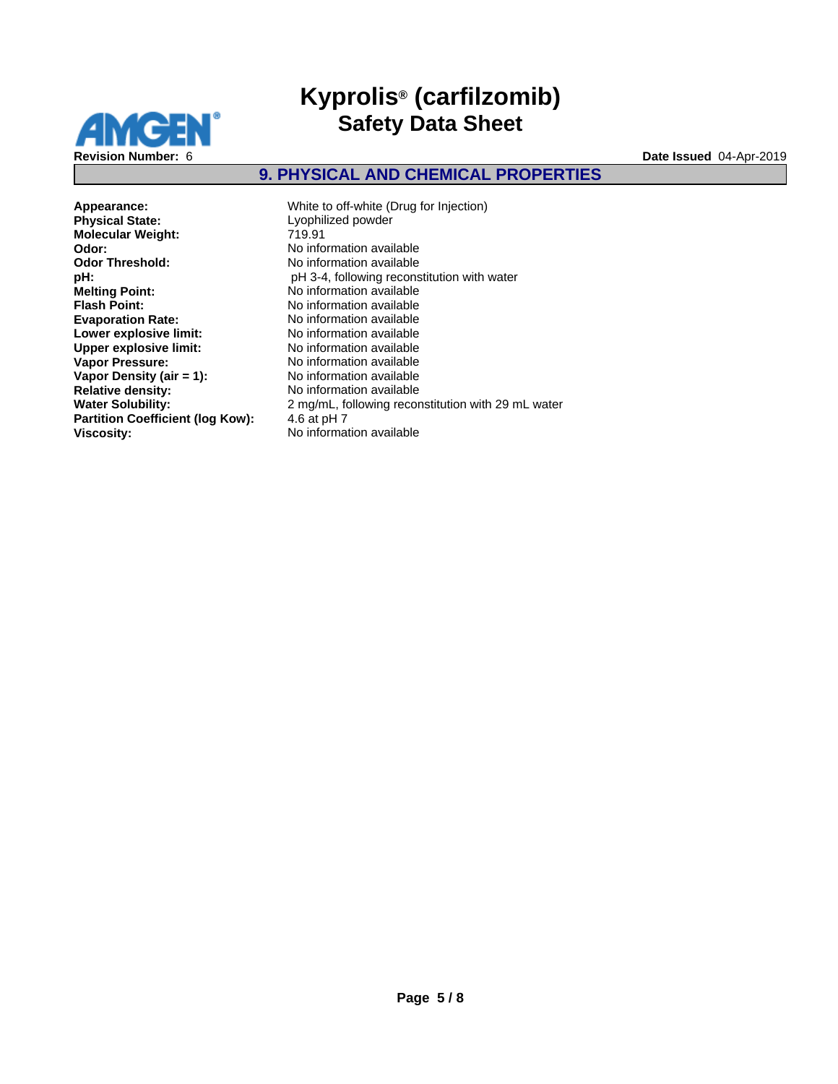

# **9. PHYSICAL AND CHEMICAL PROPERTIES**

**Molecular Weight: Odor:**  $\overline{\phantom{a}}$  **No** information available<br> **Odor Threshold:** No information available **Odor Threshold:** No information available<br> **pH**: **h** PH 3-4, following recons **Melting Point:** No information available<br> **Flash Point:** No information available **Flash Point:** No information available<br> **Evaporation Rate:** No information available **Lower explosive limit:** No information available<br> **Upper explosive limit:** No information available **Upper explosive limit:<br>Vapor Pressure: Vapor Density (air = 1):**<br>Relative density: **Partition Coefficient (log Kow):** 4.6 at pH 7 **Viscosity:** No information available

**Appearance:** White to off-white (Drug for Injection)<br> **Physical State:** Lyophilized powder Lyophilized powder<br>719.91 **pH:**<br> **pH 3-4**, following reconstitution with water<br> **Mo** information available **Evaporation Rate:** No information available No information available<br>No information available **Relative density:** No information available **Water Solubility:** 2 mg/mL, following reconstitution with 29 mL water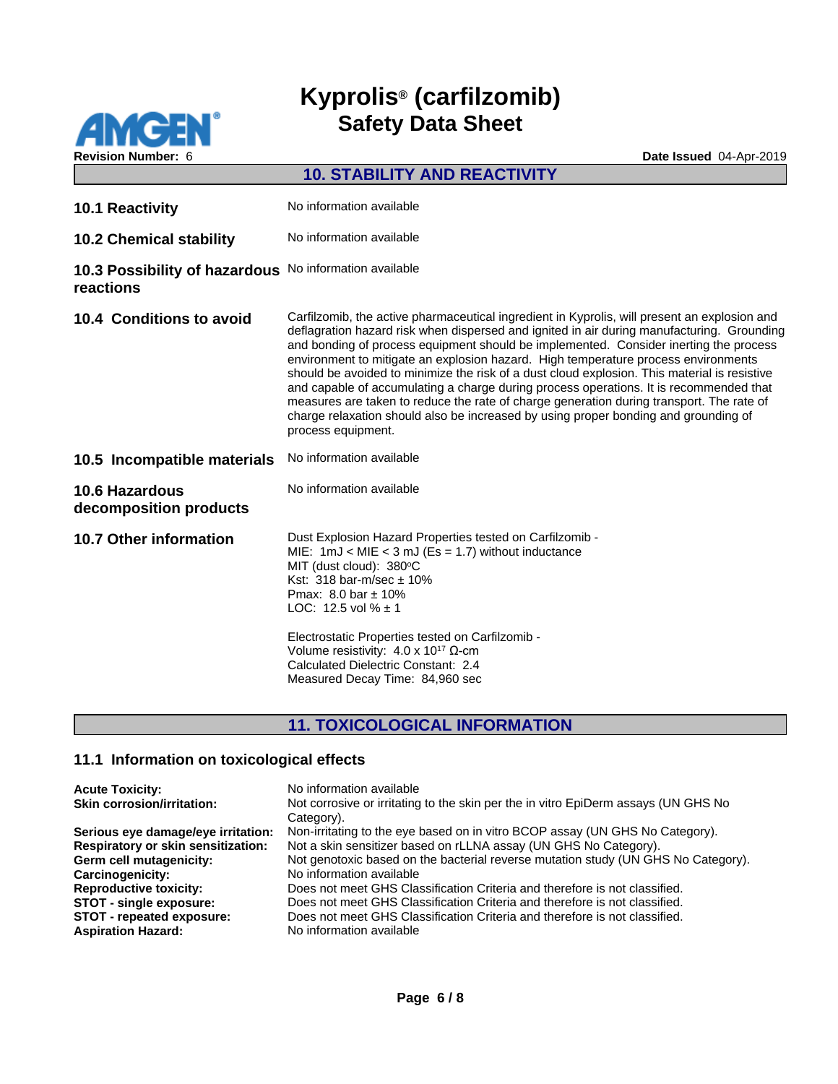

**Revision Number:** 6 **Date Issued** 04-Apr-2019 **10. STABILITY AND REACTIVITY 10.1 Reactivity** No information available **10.2 Chemical stability** No information available **10.3 Possibility of hazardous** No information available **reactions 10.4 Conditions to avoid** Carfilzomib, the active pharmaceutical ingredient in Kyprolis, will present an explosion and deflagration hazard risk when dispersed and ignited in air during manufacturing. Grounding and bonding of process equipment should be implemented. Consider inerting the process environment to mitigate an explosion hazard. High temperature process environments should be avoided to minimize the risk of a dust cloud explosion. This material is resistive and capable of accumulating a charge during process operations. It is recommended that measures are taken to reduce the rate of charge generation during transport. The rate of charge relaxation should also be increased by using proper bonding and grounding of process equipment. 10.5 Incompatible materials No information available **10.6 Hazardous decomposition products** No information available **10.7 Other information** Dust Explosion Hazard Properties tested on Carfilzomib -<br>MIE: 1mJ < MIE < 3 mJ (Es = 1.7) without inductance MIT (dust cloud):  $380^{\circ}$ C Kst:  $318$  bar-m/sec  $\pm 10\%$ Pmax: 8.0 bar ± 10% LOC: 12.5 vol  $% \pm 1$ Electrostatic Properties tested on Carfilzomib - Volume resistivity: 4.0 x 10<sup>17</sup> Ω-cm

# **11. TOXICOLOGICAL INFORMATION**

Calculated Dielectric Constant: 2.4 Measured Decay Time: 84,960 sec

#### **11.1 Information on toxicological effects**

| <b>Acute Toxicity:</b>                    | No information available                                                                         |
|-------------------------------------------|--------------------------------------------------------------------------------------------------|
| <b>Skin corrosion/irritation:</b>         | Not corrosive or irritating to the skin per the in vitro EpiDerm assays (UN GHS No<br>Category). |
| Serious eye damage/eye irritation:        | Non-irritating to the eye based on in vitro BCOP assay (UN GHS No Category).                     |
| <b>Respiratory or skin sensitization:</b> | Not a skin sensitizer based on rLLNA assay (UN GHS No Category).                                 |
| Germ cell mutagenicity:                   | Not genotoxic based on the bacterial reverse mutation study (UN GHS No Category).                |
| Carcinogenicity:                          | No information available                                                                         |
| <b>Reproductive toxicity:</b>             | Does not meet GHS Classification Criteria and therefore is not classified.                       |
| <b>STOT - single exposure:</b>            | Does not meet GHS Classification Criteria and therefore is not classified.                       |
| STOT - repeated exposure:                 | Does not meet GHS Classification Criteria and therefore is not classified.                       |
| <b>Aspiration Hazard:</b>                 | No information available                                                                         |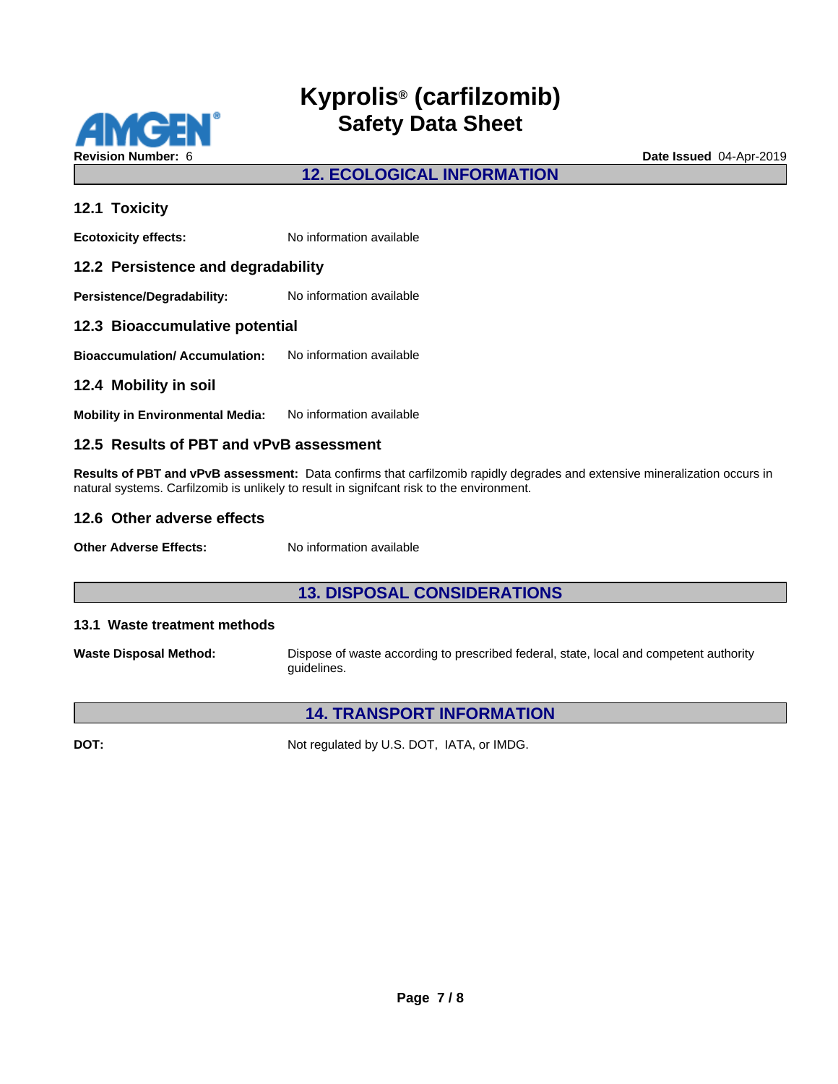

# **12. ECOLOGICAL INFORMATION**

#### **12.1 Toxicity**

**Ecotoxicity effects:** No information available

#### **12.2 Persistence and degradability**

**Persistence/Degradability:** No information available

#### **12.3 Bioaccumulative potential**

**Bioaccumulation/ Accumulation:** No information available

#### **12.4 Mobility in soil**

**Mobility in Environmental Media:** No information available

#### **12.5 Results of PBT and vPvB assessment**

**Results of PBT and vPvB assessment:** Data confirms that carfilzomib rapidly degrades and extensive mineralization occurs in natural systems. Carfilzomib is unlikely to result in signifcant risk to the environment.

#### **12.6 Other adverse effects**

**Other Adverse Effects:** No information available

### **13. DISPOSAL CONSIDERATIONS**

#### **13.1 Waste treatment methods**

**Waste Disposal Method:** Dispose of waste according to prescribed federal, state, local and competent authority guidelines.

#### **14. TRANSPORT INFORMATION**

**DOT:** Not regulated by U.S. DOT, IATA, or IMDG.